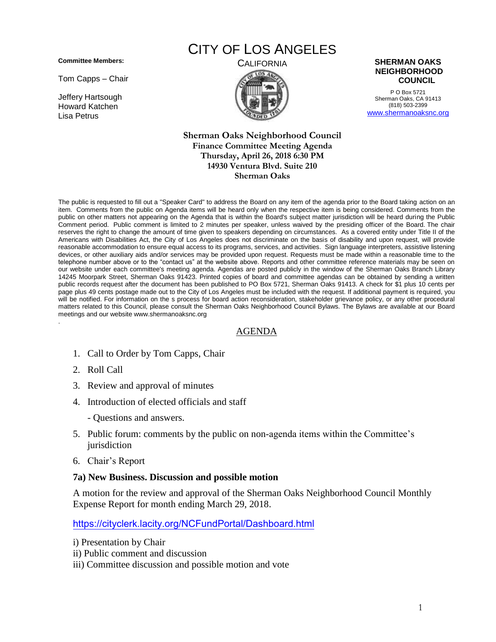**Committee Members:**

Tom Capps – Chair

Jeffery Hartsough Howard Katchen Lisa Petrus

# CITY OF LOS ANGELES





P O Box 5721 Sherman Oaks, CA 91413 (818) 503-2399 [www.shermanoaksnc.org](http://www.shermanoaksnc.org/)

#### **Sherman Oaks Neighborhood Council Finance Committee Meeting Agenda Thursday, April 26, 2018 6:30 PM 14930 Ventura Blvd. Suite 210 Sherman Oaks**

The public is requested to fill out a "Speaker Card" to address the Board on any item of the agenda prior to the Board taking action on an item. Comments from the public on Agenda items will be heard only when the respective item is being considered. Comments from the public on other matters not appearing on the Agenda that is within the Board's subject matter jurisdiction will be heard during the Public Comment period. Public comment is limited to 2 minutes per speaker, unless waived by the presiding officer of the Board. The chair reserves the right to change the amount of time given to speakers depending on circumstances. As a covered entity under Title II of the Americans with Disabilities Act, the City of Los Angeles does not discriminate on the basis of disability and upon request, will provide reasonable accommodation to ensure equal access to its programs, services, and activities. Sign language interpreters, assistive listening devices, or other auxiliary aids and/or services may be provided upon request. Requests must be made within a reasonable time to the telephone number above or to the "contact us" at the website above. Reports and other committee reference materials may be seen on our website under each committee's meeting agenda. Agendas are posted publicly in the window of the Sherman Oaks Branch Library 14245 Moorpark Street, Sherman Oaks 91423. Printed copies of board and committee agendas can be obtained by sending a written public records request after the document has been published to PO Box 5721, Sherman Oaks 91413. A check for \$1 plus 10 cents per page plus 49 cents postage made out to the City of Los Angeles must be included with the request. If additional payment is required, you will be notified. For information on the s process for board action reconsideration, stakeholder grievance policy, or any other procedural matters related to this Council, please consult the Sherman Oaks Neighborhood Council Bylaws. The Bylaws are available at our Board meetings and our website www.shermanoaksnc.org .

### AGENDA

- 1. Call to Order by Tom Capps, Chair
- 2. Roll Call
- 3. Review and approval of minutes
- 4. Introduction of elected officials and staff
	- Questions and answers.
- 5. Public forum: comments by the public on non-agenda items within the Committee's jurisdiction
- 6. Chair's Report

#### **7a) New Business. Discussion and possible motion**

A motion for the review and approval of the Sherman Oaks Neighborhood Council Monthly Expense Report for month ending March 29, 2018.

<https://cityclerk.lacity.org/NCFundPortal/Dashboard.html>

- i) Presentation by Chair
- ii) Public comment and discussion
- iii) Committee discussion and possible motion and vote